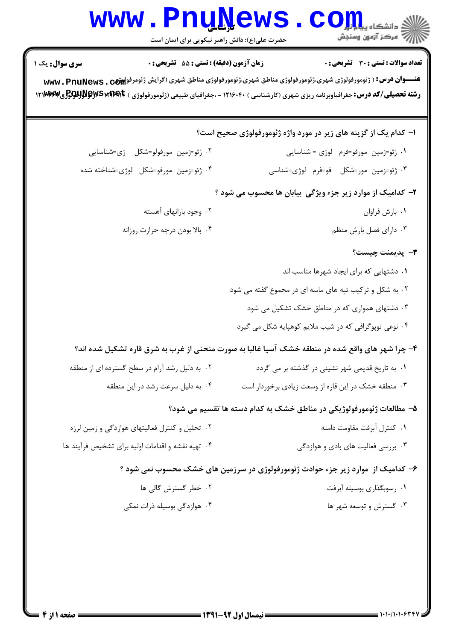## **www.PnuNews.com**

حضرت علی(ع): دانش راهبر نیکویی برای ایمان است

**تعداد سوالات : تستي : 30 ٪ تشريحي : 0** 

زمان آزمون (دقيقه) : تستى : 55 ٪ تشريحي : 0

عنـــوان درس: ( ژئومورفولوژي شهري،ژئومورفولوژي مناطق شهري،ژئومورفولوژي مناطق شهري (گرايش ژئومرفو) , www . PnuNews رشته تحصیلی/کد درس: جغرافیاوبرنامه ریزی شهری (کارشناسی ) ۱۲۱۶۰۴۰ - ،جغرافیای طبیعی (ژئومورفولوژی ) NARPAR BWS WITAR (1۲۱)

ا– کدام یک از گزینه های زیر در مورد واژه ژئومورفولوژی صحیح است؟ ٠١ ژئو=زمين مورفو=فرم لوژي = شناسايي ۰۲ ژئو=زمین مورفولو=شکل ژی=شناسایی ۰۴ ژئو=زمین مورفو=شکل لوژی=شناخته شده ۰۳ ژئو=زمین مور=شکل فو=فرم لوژی=شناسی ۲- کدامیک از موارد زیر جزء ویژگی بیابان ها محسوب می شود ؟ ۰۲ وجود بارانهای آهسته ٠١. بارش فراوان ۰۴ بالا بودن درجه حرارت روزانه ۰۳ دارای فصل بارش منظم **٣**- يديمنت چيست؟ ۰۱ دشتهایی که برای ایجاد شهرها مناسب اند ۲. به شکل و ترکیب تپه های ماسه ای در مجموع گفته می شود ۰۳ دشتهای همواری که در مناطق خشک تشکیل می شود ۰۴ نوعی توپوگرافی که در شیب ملایم کوهپایه شکل می گیرد ۴- چرا شهر های واقع شده در منطقه خشک آسیا غالبا به صورت منحنی از غرب به شرق قاره تشکیل شده اند؟ ۰۲ به دلیل رشد آرام در سطح گسترده ای از منطقه ۰۱ به تاریخ قدیمی شهر نشینی در گذشته بر می گردد ۰۳ منطقه خشک در این قاره از وسعت زیادی برخوردار است ۰۴ به دلیل سرعت رشد در این منطقه ۵- مطالعات ژئومورفولوژيکي در مناطق خشک به کدام دسته ها تقسیم می شود؟ ۰۲ تحلیل و کنترل فعالیتهای هوازدگی و زمین لرزه ٠١ كنترل آبرفت مقاومت دامنه ۰۴ تهیه نقشه و اقدامات اولیه برای تشخیص فرآیند ها ۰۳ بررسی فعالیت های بادی و هوازدگی ۶– کدامیک از موارد زیر جزء حوادث ژئومورفولوژی در سرزمین های خشک محسوب نمی شود ؟

- ٢. خطر گسترش گالی ها ۰۱ رسوبگذاری بوسیله آبرفت
- ۰۴ هوازدگی بوسیله ذرات نمکی ۰۳ گسترش و توسعه شهر ها

**سری سوال :** یک ۱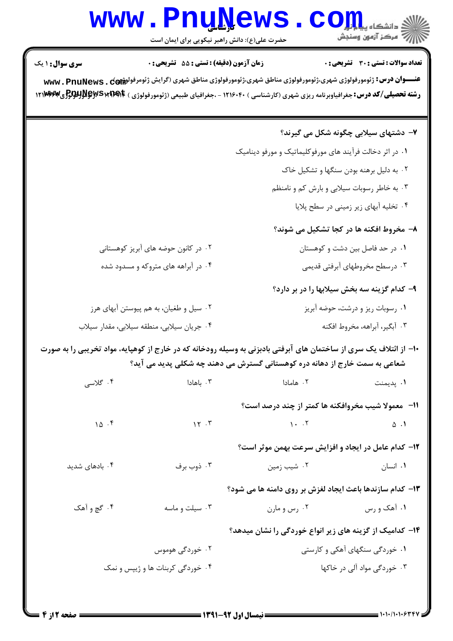## Www.PnuNews.com

حضرت علی(ع): دانش راهبر نیکویی برای ایمان است

| <b>سری سوال : ۱ یک</b>                                                                                                                                                                          | <b>زمان آزمون (دقیقه) : تستی : 55 تشریحی : 0</b><br><b>عنـــوان درس:</b> ژئومورفولوژی شهری،ژئومورفولوژی مناطق شهری،ژئومورفولوژی مناطق شهری (گرایش ژئومرفولو <b>ټټه)ی Www . PnuNews .</b><br><b>رشته تحصیلی/کد درس:</b> جغرافیاوبرنامه ریزی شهری (کارشناسی ) ۱۲۱۶۰۴۰ - ،جغرافیای طبیعی (ژئومورفولوژی ) SAMPAR الآلالالولولوژی ) ۱۲۱ <b>۶۸۳۷ (PHPAR</b> |                                                          | <b>تعداد سوالات : تستی : 30 ٪ تشریحی : 0</b>                     |  |
|-------------------------------------------------------------------------------------------------------------------------------------------------------------------------------------------------|-------------------------------------------------------------------------------------------------------------------------------------------------------------------------------------------------------------------------------------------------------------------------------------------------------------------------------------------------------|----------------------------------------------------------|------------------------------------------------------------------|--|
|                                                                                                                                                                                                 |                                                                                                                                                                                                                                                                                                                                                       |                                                          | ۷- دشتهای سیلابی چگونه شکل می گیرند؟                             |  |
|                                                                                                                                                                                                 |                                                                                                                                                                                                                                                                                                                                                       | ۰۱ در اثر دخالت فرآیند های مورفوکلیماتیک و مورفو دینامیک |                                                                  |  |
|                                                                                                                                                                                                 |                                                                                                                                                                                                                                                                                                                                                       |                                                          | ۰۲ به دلیل برهنه بودن سنگها و تشکیل خاک                          |  |
|                                                                                                                                                                                                 |                                                                                                                                                                                                                                                                                                                                                       |                                                          | ۰۳ به خاطر رسوبات سیلابی و بارش کم و نامنظم                      |  |
|                                                                                                                                                                                                 |                                                                                                                                                                                                                                                                                                                                                       |                                                          | ۰۴ تخلیه آبهای زیر زمینی در سطح پلایا                            |  |
|                                                                                                                                                                                                 |                                                                                                                                                                                                                                                                                                                                                       |                                                          | ۸- مخروط افکنه ها در کجا تشکیل می شوند؟                          |  |
| ۰۲ در کانون حوضه های آبریز کوهستانی                                                                                                                                                             |                                                                                                                                                                                                                                                                                                                                                       | ۰۱ در حد فاصل بین دشت و کوهستان                          |                                                                  |  |
| ۰۴ در آبراهه های متروکه و مسدود شده                                                                                                                                                             |                                                                                                                                                                                                                                                                                                                                                       | ۰۳ درسطح مخروطهای أبرفتی قدیمی                           |                                                                  |  |
|                                                                                                                                                                                                 |                                                                                                                                                                                                                                                                                                                                                       |                                                          | ۹- کدام گزینه سه بخش سیلابها را در بر دارد؟                      |  |
| ۰۲ سیل و طغیان، به هم پیوستن آبهای هرز                                                                                                                                                          |                                                                                                                                                                                                                                                                                                                                                       | ۰۱ رسوبات ریز و درشت، حوضه آبریز                         |                                                                  |  |
| ۰۴ جریان سیلابی، منطقه سیلابی، مقدار سیلاب                                                                                                                                                      |                                                                                                                                                                                                                                                                                                                                                       | ۰۳ آبگیر، آبراهه، مخروط افکنه                            |                                                                  |  |
| ∙۱− از ائتلاف یک سری از ساختمان های آبرفتی بادبزنی به وسیله رودخانه که در خارج از کوهپایه، مواد تخریبی را به صورت<br>شعاعی به سمت خارج از دهانه دره کوهستانی گسترش می دهند چه شکلی پدید می آید؟ |                                                                                                                                                                                                                                                                                                                                                       |                                                          |                                                                  |  |
| ۰۴ گلاسی                                                                                                                                                                                        | ۰۳ باهادا                                                                                                                                                                                                                                                                                                                                             | ۰۲ هامادا                                                | ۰۱ پدیمنت                                                        |  |
|                                                                                                                                                                                                 |                                                                                                                                                                                                                                                                                                                                                       |                                                          | 11- معمولا شيب مخروافكنه ها كمتر از چند درصد است؟                |  |
| 10.5                                                                                                                                                                                            | 15.7                                                                                                                                                                                                                                                                                                                                                  | $\lambda$ . $\lambda$                                    | $\Delta$ .                                                       |  |
|                                                                                                                                                                                                 |                                                                                                                                                                                                                                                                                                                                                       |                                                          | 12- كدام عامل در ايجاد و افزايش سرعت بهمن موثر است؟              |  |
| ۰۴ بادهای شدید                                                                                                                                                                                  | ۰۳ ذوب برف                                                                                                                                                                                                                                                                                                                                            | ۰۲ شیب زمین                                              | ۰۱ انسان                                                         |  |
|                                                                                                                                                                                                 |                                                                                                                                                                                                                                                                                                                                                       |                                                          | <b>۱۳</b> - کدام سازندها باعث ایجاد لغزش بر روی دامنه ها می شود؟ |  |
| ۰۴ گچ و آهک                                                                                                                                                                                     | ۰۳ سیلت و ماسه                                                                                                                                                                                                                                                                                                                                        | ۰۲ رس و مارن                                             | ۰۱ آهک و رس                                                      |  |
|                                                                                                                                                                                                 |                                                                                                                                                                                                                                                                                                                                                       |                                                          | ۱۴– کدامیک از گزینه های زیر انواع خوردگی را نشان میدهد؟          |  |
| ۰۲ خوردگی هوموس                                                                                                                                                                                 |                                                                                                                                                                                                                                                                                                                                                       | ۰۱ خوردگی سنگهای آهکی و کارستی                           |                                                                  |  |
| ۰۴ خوردگی کربنات ها و ژیپس و نمک                                                                                                                                                                |                                                                                                                                                                                                                                                                                                                                                       | ۰۳ خوردگی مواد آلی در خاکها                              |                                                                  |  |
|                                                                                                                                                                                                 |                                                                                                                                                                                                                                                                                                                                                       |                                                          |                                                                  |  |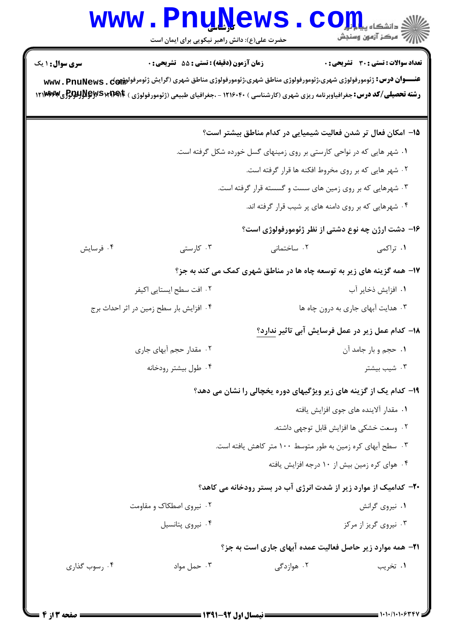## **www.PnuNews.com** است.<br>استاذه آنه بن استخم

حضرت علی(ع): دانش راهبر نیکویی برای ایمان است

تعداد سوالات : تستى : 30 - تشريحي : 0

**زمان آزمون (دقیقه) : تستی : 55 تشریحی: 0** 

عنـــوان درس: ژئومورفولوژي شهري،ژئومورفولوژي مناطق شهري،ژئومورفولوژي مناطق شهري (گرايش ژئومرفولوشوي) ۽ www. PnuNews رشته تحصیلی/کد درس: جغرافیاوبرنامه ریزی شهری (کارشناسی ) ۱۲۱۶۰۴۰ - ،جغرافیای طبیعی (ژئومورفولوژی ) NARPAR SWIDAR (3)

1۵– امکان فعال تر شدن فعالیت شیمیایی در کدام مناطق بیشتر است؟ ۰۱ شهر هایی که در نواحی کارستی بر روی زمینهای گسل خورده شکل گرفته است. ۰۲ شهر هایی که بر روی مخروط افکنه ها قرار گرفته است. ۰۳ شهرهایی که بر روی زمین های سست و گسسته قرار گرفته است. ۰۴ شهرهایی که بر روی دامنه های پر شیب قرار گرفته اند. ۱۶- دشت ارژن چه نوع دشتی از نظر ژئومورفولوژی است؟ ۰۴ فرسایش ۰۳ کارستی ۰۲ ساختماني ۰۱ تراکمی ۱۷- همه گزینه های زیر به توسعه چاه ها در مناطق شهری کمک می کند به جز؟ ٠١. افزايش ذخاير آب ۰۲ افت سطح ایستایی اکیفر ۰۴ افزایش بار سطح زمین در اثر احداث برج ۰۳ هدایت آبهای جاری به درون چاه ها ۱۸– کدام عمل زیر در عمل فرسایش آبی تاثیر ندارد؟ ۰۲ مقدار حجم آبهای جاری ۰۱ حجم و بار جامد آن ۰۴ طول بیشتر رودخانه ۰۳ شیب بیشتر ۱۹- کدام یک از گزینه های زیر ویژگیهای دوره یخچالی را نشان می دهد؟ ٠١. مقدار آلاينده هاي جوي افزايش يافته ٢٠. وسعت خشكي ها افزايش قابل توجهي داشته. ۰۳ سطح آبهای کره زمین به طور متوسط ۱۰۰ متر کاهش یافته است. ۰۴ هوای کره زمین بیش از ۱۰ درجه افزایش یافته ۲۰- کدامیک از موارد زیر از شدت انرژی آب در بستر رودخانه می کاهد؟ ۰۱ نیروی گرانش ۰۲ نیروی اصطکاک و مقاومت ۰۴ نیروی پتانسیل ۰۳ نیروی گریز از مرکز **۲۱**- همه موارد زیر حاصل فعالیت عمده آبهای جاری است به جز؟ ۰۳ حمل مواد ۰۴ رسوب گذاری ۰۲ هوا;دگے<sub>،</sub> ۰۱ تخریب

**سری سوال : ۱ یک**